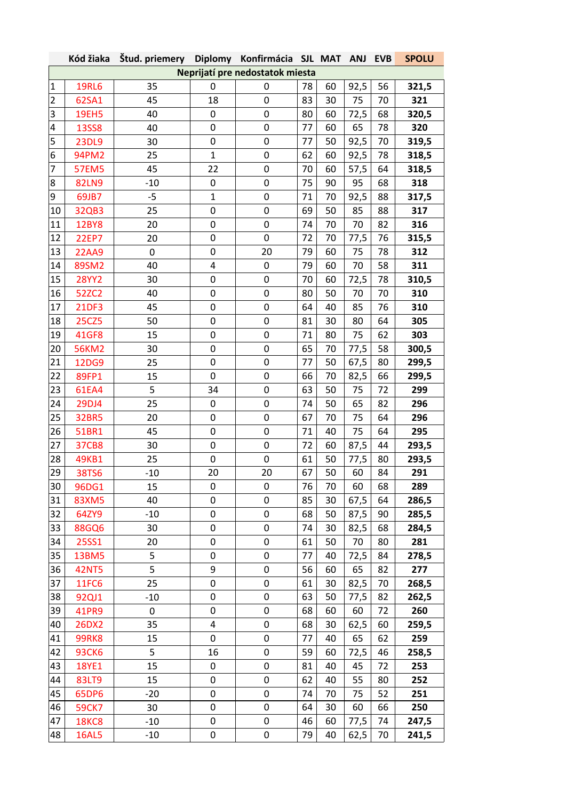|                                 | Kód žiaka    | Štud. priemery |              | Diplomy Konfirmácia SJL MAT |    |    | <b>ANJ</b> | <b>EVB</b> | <b>SPOLU</b> |  |
|---------------------------------|--------------|----------------|--------------|-----------------------------|----|----|------------|------------|--------------|--|
| Neprijatí pre nedostatok miesta |              |                |              |                             |    |    |            |            |              |  |
| $\mathbf 1$                     | <b>19RL6</b> | 35             | 0            | 0                           | 78 | 60 | 92,5       | 56         | 321,5        |  |
| $\mathbf 2$                     | 62SA1        | 45             | 18           | 0                           | 83 | 30 | 75         | 70         | 321          |  |
| 3                               | <b>19EH5</b> | 40             | $\pmb{0}$    | 0                           | 80 | 60 | 72,5       | 68         | 320,5        |  |
| 4                               | <b>13SS8</b> | 40             | 0            | 0                           | 77 | 60 | 65         | 78         | 320          |  |
| 5                               | <b>23DL9</b> | 30             | 0            | 0                           | 77 | 50 | 92,5       | 70         | 319,5        |  |
| 6                               | 94PM2        | 25             | $\mathbf{1}$ | 0                           | 62 | 60 | 92,5       | 78         | 318,5        |  |
| $\overline{7}$                  | <b>57EM5</b> | 45             | 22           | 0                           | 70 | 60 | 57,5       | 64         | 318,5        |  |
| 8                               | <b>82LN9</b> | $-10$          | $\pmb{0}$    | 0                           | 75 | 90 | 95         | 68         | 318          |  |
| 9                               | 69JB7        | $-5$           | $\mathbf{1}$ | 0                           | 71 | 70 | 92,5       | 88         | 317,5        |  |
| 10                              | 32QB3        | 25             | 0            | 0                           | 69 | 50 | 85         | 88         | 317          |  |
| 11                              | <b>12BY8</b> | 20             | 0            | 0                           | 74 | 70 | 70         | 82         | 316          |  |
| 12                              | <b>22EP7</b> | 20             | 0            | 0                           | 72 | 70 | 77,5       | 76         | 315,5        |  |
| 13                              | <b>22AA9</b> | 0              | $\mathbf 0$  | 20                          | 79 | 60 | 75         | 78         | 312          |  |
| 14                              | 89SM2        | 40             | 4            | 0                           | 79 | 60 | 70         | 58         | 311          |  |
| 15                              | <b>28YY2</b> | 30             | 0            | 0                           | 70 | 60 | 72,5       | 78         | 310,5        |  |
| 16                              | 52ZC2        | 40             | $\mathbf 0$  | 0                           | 80 | 50 | 70         | 70         | 310          |  |
| 17                              | <b>21DF3</b> | 45             | $\mathbf 0$  | 0                           | 64 | 40 | 85         | 76         | 310          |  |
| 18                              | <b>25CZ5</b> | 50             | 0            | 0                           | 81 | 30 | 80         | 64         | 305          |  |
| 19                              | 41GF8        | 15             | $\mathbf 0$  | 0                           | 71 | 80 | 75         | 62         | 303          |  |
| 20                              | <b>56KM2</b> | 30             | 0            | 0                           | 65 | 70 | 77,5       | 58         | 300,5        |  |
| 21                              | 12DG9        | 25             | 0            | 0                           | 77 | 50 | 67,5       | 80         | 299,5        |  |
| 22                              | 89FP1        | 15             | $\mathbf 0$  | 0                           | 66 | 70 | 82,5       | 66         | 299,5        |  |
| 23                              | 61EA4        | 5              | 34           | 0                           | 63 | 50 | 75         | 72         | 299          |  |
| 24                              | 29DJ4        | 25             | 0            | 0                           | 74 | 50 | 65         | 82         | 296          |  |
| 25                              | <b>32BR5</b> | 20             | 0            | 0                           | 67 | 70 | 75         | 64         | 296          |  |
| 26                              | 51BR1        | 45             | 0            | 0                           | 71 | 40 | 75         | 64         | 295          |  |
| 27                              | <b>37CB8</b> | 30             | $\mathbf 0$  | $\pmb{0}$                   | 72 | 60 | 87,5       | 44         | 293,5        |  |
| 28                              | 49KB1        | 25             | 0            | 0                           | 61 | 50 | 77,5       | 80         | 293,5        |  |
| 29                              | <b>38TS6</b> | $-10$          | 20           | 20                          | 67 | 50 | 60         | 84         | 291          |  |
| 30                              | 96DG1        | 15             | 0            | 0                           | 76 | 70 | 60         | 68         | 289          |  |
| 31                              | 83XM5        | 40             | 0            | 0                           | 85 | 30 | 67,5       | 64         | 286,5        |  |
| 32                              | 64ZY9        | $-10$          | $\mathbf 0$  | $\pmb{0}$                   | 68 | 50 | 87,5       | 90         | 285,5        |  |
| 33                              | <b>88GQ6</b> | 30             | $\mathbf 0$  | 0                           | 74 | 30 | 82,5       | 68         | 284,5        |  |
| 34                              | <b>25SS1</b> | 20             | 0            | 0                           | 61 | 50 | 70         | 80         | 281          |  |
| 35                              | <b>13BM5</b> | 5              | 0            | 0                           | 77 | 40 | 72,5       | 84         | 278,5        |  |
| 36                              | <b>42NT5</b> | 5              | 9            | 0                           | 56 | 60 | 65         | 82         | 277          |  |
| 37                              | <b>11FC6</b> | 25             | 0            | 0                           | 61 | 30 | 82,5       | 70         | 268,5        |  |
| 38                              | 92QJ1        | $-10$          | $\mathbf 0$  | 0                           | 63 | 50 | 77,5       | 82         | 262,5        |  |
| 39                              | 41PR9        | 0              | $\mathbf 0$  | 0                           | 68 | 60 | 60         | 72         | 260          |  |
| 40                              | 26DX2        | 35             | 4            | 0                           | 68 | 30 | 62,5       | 60         | 259,5        |  |
| 41                              | <b>99RK8</b> | 15             | $\pmb{0}$    | 0                           | 77 | 40 | 65         | 62         | 259          |  |
| 42                              | <b>93CK6</b> | 5              | 16           | 0                           | 59 | 60 | 72,5       | 46         | 258,5        |  |
| 43                              | <b>18YE1</b> | 15             | 0            | 0                           | 81 | 40 | 45         | 72         | 253          |  |
| 44                              | 83LT9        | 15             | 0            | 0                           | 62 | 40 | 55         | 80         | 252          |  |
| 45                              | 65DP6        | $-20$          | 0            | 0                           | 74 | 70 | 75         | 52         | 251          |  |
| 46                              | <b>59CK7</b> | 30             | $\mathbf 0$  | 0                           | 64 | 30 | 60         | 66         | 250          |  |
| 47                              | <b>18KC8</b> | $-10$          | 0            | 0                           | 46 | 60 | 77,5       | 74         | 247,5        |  |
| 48                              | <b>16AL5</b> | $-10$          | 0            | 0                           | 79 | 40 | 62,5       | 70         | 241,5        |  |